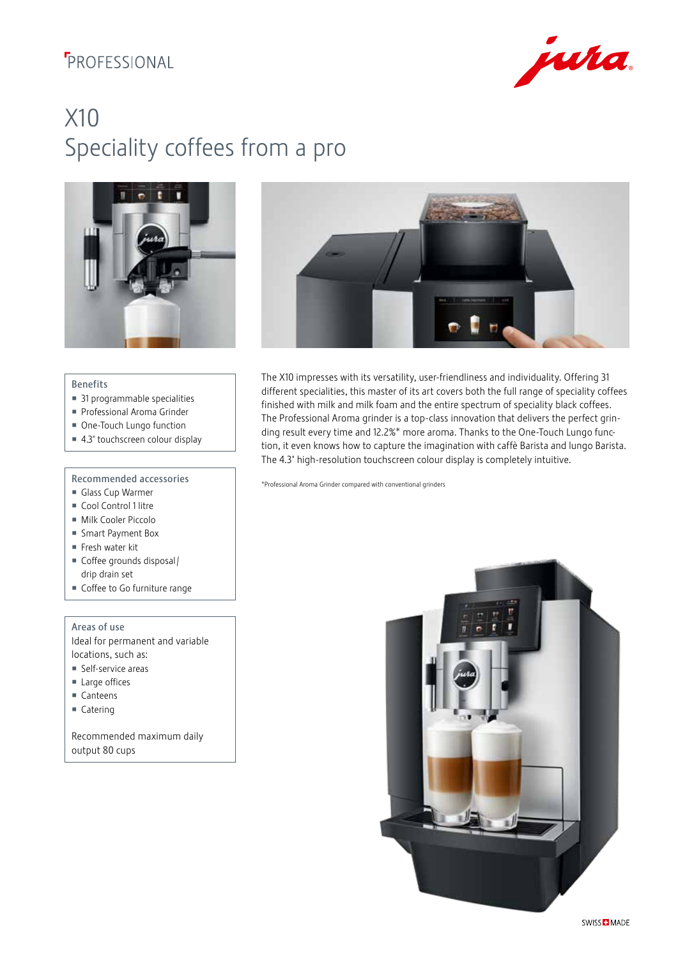## **F**PROFESSIONAL



# X10 Speciality coffees from a pro





#### Benefits

- 31 programmable specialities
- Professional Aroma Grinder
- One-Touch Lungo function
- 4.3" touchscreen colour display

### Recommended accessories

- Glass Cup Warmer
- Cool Control 1 litre
- Milk Cooler Piccolo
- Smart Payment Box
- Fresh water kit
- Coffee grounds disposal / drip drain set
- Coffee to Go furniture range

Areas of use Ideal for permanent and variable

- locations, such as: Self-service areas
- Large offices
- Canteens
- 
- Catering

Recommended maximum daily output 80 cups

The X10 impresses with its versatility, user-friendliness and individuality. Offering 31 different specialities, this master of its art covers both the full range of speciality coffees finished with milk and milk foam and the entire spectrum of speciality black coffees. The Professional Aroma grinder is a top-class innovation that delivers the perfect grinding result every time and 12.2%\* more aroma. Thanks to the One-Touch Lungo function, it even knows how to capture the imagination with caffè Barista and lungo Barista. The 4.3" high-resolution touchscreen colour display is completely intuitive.

\*Professional Aroma Grinder compared with conventional grinders